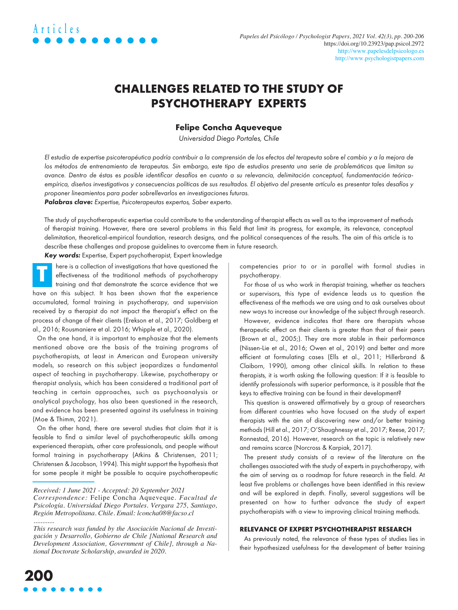## **CHALLENGES RELATED TO THE STUDY OF PSYCHOTHERAPY EXPERTS**

### **Felipe Concha Aqueveque**

Universidad Diego Portales, Chile

El estudio de expertise psicoterapéutica podría contribuir a la comprensión de los efectos del terapeuta sobre el cambio y a la mejora de los métodos de entrenamiento de terapeutas. Sin embargo, este tipo de estudios presenta una serie de problemáticas que limitan su avance. Dentro de éstas es posible identificar desafíos en cuanto a su relevancia, delimitación conceptual, fundamentación teóricaempírica, diseños investigativos y consecuencias políticas de sus resultados. El objetivo del presente artículo es presentar tales desafíos y proponer lineamientos para poder sobrellevarlos en investigaciones futuras.

Palabras clave: Expertise, Psicoterapeutas expertos, Saber experto.

The study of psychotherapeutic expertise could contribute to the understanding of therapist effects as well as to the improvement of methods of therapist training. However, there are several problems in this field that limit its progress, for example, its relevance, conceptual delimitation, theoretical-empirical foundation, research designs, and the political consequences of the results. The aim of this article is to describe these challenges and propose guidelines to overcome them in future research.

Key words: Expertise, Expert psychotherapist, Expert knowledge

here is a collection of investigations that have questioned the effectiveness of the traditional methods of psychotherapy training and that demonstrate the scarce evidence that we have on this subject. It has been shown that the experience accumulated, formal training in psychotherapy, and supervision received by a therapist do not impact the therapist's effect on the process of change of their clients (Erekson et al., 2017; Goldberg et al., 2016; Rousmaniere et al. 2016; Whipple et al., 2020). **T**

On the one hand, it is important to emphasize that the elements mentioned above are the basis of the training programs of psychotherapists, at least in American and European university models, so research on this subject jeopardizes a fundamental aspect of teaching in psychotherapy. Likewise, psychotherapy or therapist analysis, which has been considered a traditional part of teaching in certain approaches, such as psychoanalysis or analytical psychology, has also been questioned in the research, and evidence has been presented against its usefulness in training (Moe & Thimm, 2021).

On the other hand, there are several studies that claim that it is feasible to find a similar level of psychotherapeutic skills among experienced therapists, other care professionals, and people without formal training in psychotherapy (Atkins & Christensen, 2011; Christensen & Jacobson, 1994). This might support the hypothesis that for some people it might be possible to acquire psychotherapeutic

competencies prior to or in parallel with formal studies in psychotherapy.

For those of us who work in therapist training, whether as teachers or supervisors, this type of evidence leads us to question the effectiveness of the methods we are using and to ask ourselves about new ways to increase our knowledge of the subject through research.

However, evidence indicates that there are therapists whose therapeutic effect on their clients is greater than that of their peers (Brown et al., 2005;). They are more stable in their performance (Nissen-Lie et al., 2016; Owen et al., 2019) and better and more efficient at formulating cases (Ells et al., 2011; Hillerbrand & Claiborn, 1990), among other clinical skills. In relation to these therapists, it is worth asking the following question: If it is feasible to identify professionals with superior performance, is it possible that the keys to effective training can be found in their development?

This question is answered affirmatively by a group of researchers from different countries who have focused on the study of expert therapists with the aim of discovering new and/or better training methods (Hill et al., 2017; O'Shaughnessy et al., 2017; Reese, 2017; Ronnestad, 2016). However, research on the topic is relatively new and remains scarce (Norcross & Karpiak, 2017).

The present study consists of a review of the literature on the challenges associated with the study of experts in psychotherapy, with the aim of serving as a roadmap for future research in the field. At least five problems or challenges have been identified in this review and will be explored in depth. Finally, several suggestions will be presented on how to further advance the study of expert psychotherapists with a view to improving clinical training methods.

#### **RELEVANCE OF EXPERT PSYCHOTHERAPIST RESEARCH**

As previously noted, the relevance of these types of studies lies in their hypothesized usefulness for the development of better training

*Received: 1 June 2021 - Accepted: 20 September 2021* 

*Correspondence:* Felipe Concha Aqueveque. *Facultad de Psicología. Universidad Diego Portales. Vergara 275, Santiago, Región Metropolitana. Chile. Email: [lconcha08@facso.cl](mailto:lconcha08@facso.cl)  ............* 

*This research was funded by the Asociación Nacional de Investigación y Desarrollo, Gobierno de Chile [National Research and Development Association, Government of Chile], through a National Doctorate Scholarship, awarded in 2020.*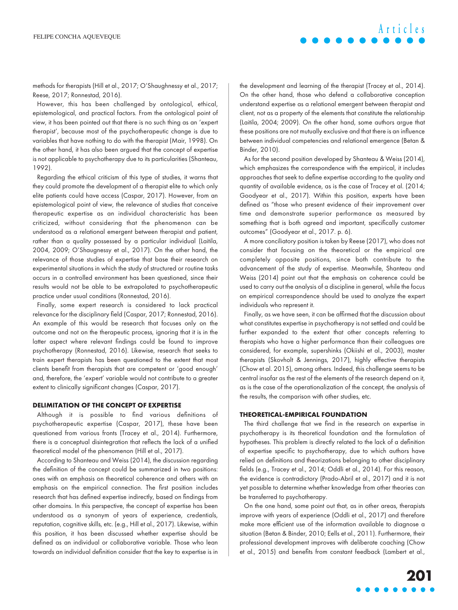**Articles**

methods for therapists (Hill et al., 2017; O'Shaughnessy et al., 2017; Reese, 2017; Ronnestad, 2016).

However, this has been challenged by ontological, ethical, epistemological, and practical factors. From the ontological point of view, it has been pointed out that there is no such thing as an 'expert therapist', because most of the psychotherapeutic change is due to variables that have nothing to do with the therapist (Mair, 1998). On the other hand, it has also been argued that the concept of expertise is not applicable to psychotherapy due to its particularities (Shanteau, 1992).

Regarding the ethical criticism of this type of studies, it warns that they could promote the development of a therapist elite to which only elite patients could have access (Caspar, 2017). However, from an epistemological point of view, the relevance of studies that conceive therapeutic expertise as an individual characteristic has been criticized, without considering that the phenomenon can be understood as a relational emergent between therapist and patient, rather than a quality possessed by a particular individual (Laitila, 2004, 2009; O'Shaugnessy et al., 2017). On the other hand, the relevance of those studies of expertise that base their research on experimental situations in which the study of structured or routine tasks occurs in a controlled environment has been questioned, since their results would not be able to be extrapolated to psychotherapeutic practice under usual conditions (Ronnestad, 2016).

Finally, some expert research is considered to lack practical relevance for the disciplinary field (Caspar, 2017; Ronnestad, 2016). An example of this would be research that focuses only on the outcome and not on the therapeutic process, ignoring that it is in the latter aspect where relevant findings could be found to improve psychotherapy (Ronnestad, 2016). Likewise, research that seeks to train expert therapists has been questioned to the extent that most clients benefit from therapists that are competent or 'good enough' and, therefore, the 'expert' variable would not contribute to a greater extent to clinically significant changes (Caspar, 2017).

#### **DELIMITATION OF THE CONCEPT OF EXPERTISE**

Although it is possible to find various definitions of psychotherapeutic expertise (Caspar, 2017), these have been questioned from various fronts (Tracey et al., 2014). Furthermore, there is a conceptual disintegration that reflects the lack of a unified theoretical model of the phenomenon (Hill et al., 2017).

According to Shanteau and Weiss (2014), the discussion regarding the definition of the concept could be summarized in two positions: ones with an emphasis on theoretical coherence and others with an emphasis on the empirical connection. The first position includes research that has defined expertise indirectly, based on findings from other domains. In this perspective, the concept of expertise has been understood as a synonym of years of experience, credentials, reputation, cognitive skills, etc. (e.g., Hill et al., 2017). Likewise, within this position, it has been discussed whether expertise should be defined as an individual or collaborative variable. Those who lean towards an individual definition consider that the key to expertise is in the development and learning of the therapist (Tracey et al., 2014). On the other hand, those who defend a collaborative conception understand expertise as a relational emergent between therapist and client, not as a property of the elements that constitute the relationship (Laitila, 2004; 2009). On the other hand, some authors argue that these positions are not mutually exclusive and that there is an influence between individual competencies and relational emergence (Betan & Binder, 2010).

As for the second position developed by Shanteau & Weiss (2014), which emphasizes the correspondence with the empirical, it includes approaches that seek to define expertise according to the quality and quantity of available evidence, as is the case of Tracey et al. (2014; Goodyear et al., 2017). Within this position, experts have been defined as "those who present evidence of their improvement over time and demonstrate superior performance as measured by something that is both agreed and important, specifically customer outcomes" (Goodyear et al., 2017. p. 6).

A more conciliatory position is taken by Reese (2017), who does not consider that focusing on the theoretical or the empirical are completely opposite positions, since both contribute to the advancement of the study of expertise. Meanwhile, Shanteau and Weiss (2014) point out that the emphasis on coherence could be used to carry out the analysis of a discipline in general, while the focus on empirical correspondence should be used to analyze the expert individuals who represent it.

Finally, as we have seen, it can be affirmed that the discussion about what constitutes expertise in psychotherapy is not settled and could be further expanded to the extent that other concepts referring to therapists who have a higher performance than their colleagues are considered, for example, supershinks (Okiishi et al., 2003), master therapists (Skovholt & Jennings, 2017), highly effective therapists (Chow et al. 2015), among others. Indeed, this challenge seems to be central insofar as the rest of the elements of the research depend on it, as is the case of the operationalization of the concept, the analysis of the results, the comparison with other studies, etc.

#### **THEORETICAL-EMPIRICAL FOUNDATION**

The third challenge that we find in the research on expertise in psychotherapy is its theoretical foundation and the formulation of hypotheses. This problem is directly related to the lack of a definition of expertise specific to psychotherapy, due to which authors have relied on definitions and theorizations belonging to other disciplinary fields (e.g., Tracey et al., 2014; Oddli et al., 2014). For this reason, the evidence is contradictory (Prado-Abril et al., 2017) and it is not yet possible to determine whether knowledge from other theories can be transferred to psychotherapy.

On the one hand, some point out that, as in other areas, therapists improve with years of experience (Oddli et al., 2017) and therefore make more efficient use of the information available to diagnose a situation (Betan & Binder, 2010; Eells et al., 2011). Furthermore, their professional development improves with deliberate coaching (Chow et al., 2015) and benefits from constant feedback (Lambert et al.,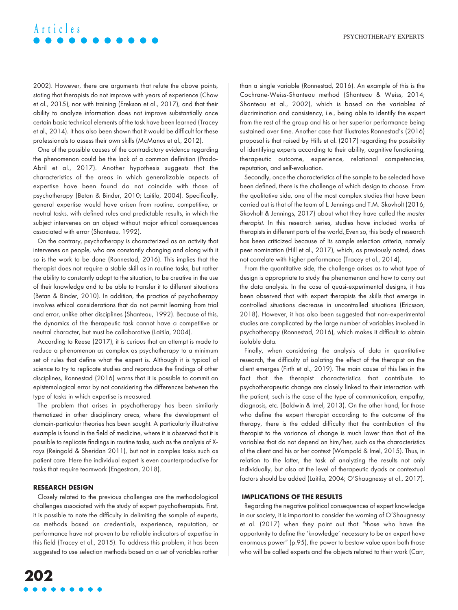# **Articles**

2002). However, there are arguments that refute the above points, stating that therapists do not improve with years of experience (Chow et al., 2015), nor with training (Erekson et al., 2017), and that their ability to analyze information does not improve substantially once certain basic technical elements of the task have been learned (Tracey et al., 2014). It has also been shown that it would be difficult for these professionals to assess their own skills (McManus et al., 2012).

One of the possible causes of the contradictory evidence regarding the phenomenon could be the lack of a common definition (Prado-Abril et al., 2017). Another hypothesis suggests that the characteristics of the areas in which generalizable aspects of expertise have been found do not coincide with those of psychotherapy (Betan & Binder, 2010; Laitila, 2004). Specifically, general expertise would have arisen from routine, competitive, or neutral tasks, with defined rules and predictable results, in which the subject intervenes on an object without major ethical consequences associated with error (Shanteau, 1992).

On the contrary, psychotherapy is characterized as an activity that intervenes on people, who are constantly changing and along with it so is the work to be done (Ronnestad, 2016). This implies that the therapist does not require a stable skill as in routine tasks, but rather the ability to constantly adapt to the situation, to be creative in the use of their knowledge and to be able to transfer it to different situations (Betan & Binder, 2010). In addition, the practice of psychotherapy involves ethical considerations that do not permit learning from trial and error, unlike other disciplines (Shanteau, 1992). Because of this, the dynamics of the therapeutic task cannot have a competitive or neutral character, but must be collaborative (Laitila, 2004).

According to Reese (2017), it is curious that an attempt is made to reduce a phenomenon as complex as psychotherapy to a minimum set of rules that define what the expert is. Although it is typical of science to try to replicate studies and reproduce the findings of other disciplines, Ronnestad (2016) warns that it is possible to commit an epistemological error by not considering the differences between the type of tasks in which expertise is measured.

The problem that arises in psychotherapy has been similarly thematized in other disciplinary areas, where the development of domain-particular theories has been sought. A particularly illustrative example is found in the field of medicine, where it is observed that it is possible to replicate findings in routine tasks, such as the analysis of Xrays (Reingold & Sheridan 2011), but not in complex tasks such as patient care. Here the individual expert is even counterproductive for tasks that require teamwork (Engestrom, 2018).

#### **RESEARCH DESIGN**

Closely related to the previous challenges are the methodological challenges associated with the study of expert psychotherapists. First, it is possible to note the difficulty in delimiting the sample of experts, as methods based on credentials, experience, reputation, or performance have not proven to be reliable indicators of expertise in this field (Tracey et al., 2015). To address this problem, it has been suggested to use selection methods based on a set of variables rather than a single variable (Ronnestad, 2016). An example of this is the Cochrane-Weiss-Shanteau method (Shanteau & Weiss, 2014; Shanteau et al., 2002), which is based on the variables of discrimination and consistency, i.e., being able to identify the expert from the rest of the group and his or her superior performance being sustained over time. Another case that illustrates Ronnestad's (2016) proposal is that raised by Hills et al. (2017) regarding the possibility of identifying experts according to their ability, cognitive functioning, therapeutic outcome, experience, relational competencies, reputation, and self-evaluation.

Secondly, once the characteristics of the sample to be selected have been defined, there is the challenge of which design to choose. From the qualitative side, one of the most complex studies that have been carried out is that of the team of L. Jennings and T.M. Skovholt (2016; Skovholt & Jennings, 2017) about what they have called the master therapist. In this research series, studies have included works of therapists in different parts of the world. Even so, this body of research has been criticized because of its sample selection criteria, namely peer nomination (Hill et al., 2017), which, as previously noted, does not correlate with higher performance (Tracey et al., 2014).

From the quantitative side, the challenge arises as to what type of design is appropriate to study the phenomenon and how to carry out the data analysis. In the case of quasi-experimental designs, it has been observed that with expert therapists the skills that emerge in controlled situations decrease in uncontrolled situations (Ericsson, 2018). However, it has also been suggested that non-experimental studies are complicated by the large number of variables involved in psychotherapy (Ronnestad, 2016), which makes it difficult to obtain isolable data.

Finally, when considering the analysis of data in quantitative research, the difficulty of isolating the effect of the therapist on the client emerges (Firth et al., 2019). The main cause of this lies in the fact that the therapist characteristics that contribute to psychotherapeutic change are closely linked to their interaction with the patient, such is the case of the type of communication, empathy, diagnosis, etc. (Baldwin & Imel, 2013). On the other hand, for those who define the expert therapist according to the outcome of the therapy, there is the added difficulty that the contribution of the therapist to the variance of change is much lower than that of the variables that do not depend on him/her, such as the characteristics of the client and his or her context (Wampold & Imel, 2015). Thus, in relation to the latter, the task of analyzing the results not only individually, but also at the level of therapeutic dyads or contextual factors should be added (Laitila, 2004; O'Shaugnessy et al., 2017).

#### **IMPLICATIONS OF THE RESULTS**

Regarding the negative political consequences of expert knowledge in our society, it is important to consider the warning of O'Shaugnessy et al. (2017) when they point out that "those who have the opportunity to define the 'knowledge' necessary to be an expert have enormous power" (p.95), the power to bestow value upon both those who will be called experts and the objects related to their work (Carr,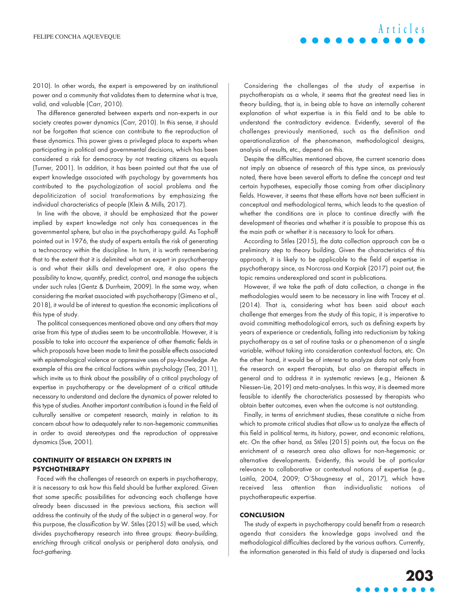2010). In other words, the expert is empowered by an institutional power and a community that validates them to determine what is true, valid, and valuable (Carr, 2010).

The difference generated between experts and non-experts in our society creates power dynamics (Carr, 2010). In this sense, it should not be forgotten that science can contribute to the reproduction of these dynamics. This power gives a privileged place to experts when participating in political and governmental decisions, which has been considered a risk for democracy by not treating citizens as equals (Turner, 2001). In addition, it has been pointed out that the use of expert knowledge associated with psychology by governments has contributed to the psychologization of social problems and the depoliticization of social transformations by emphasizing the individual characteristics of people (Klein & Mills, 2017).

In line with the above, it should be emphasized that the power implied by expert knowledge not only has consequences in the governmental sphere, but also in the psychotherapy guild. As Tophoff pointed out in 1976, the study of experts entails the risk of generating a technocracy within the discipline. In turn, it is worth remembering that to the extent that it is delimited what an expert in psychotherapy is and what their skills and development are, it also opens the possibility to know, quantify, predict, control, and manage the subjects under such rules (Gentz & Durrheim, 2009). In the same way, when considering the market associated with psychotherapy (Gimeno et al., 2018), it would be of interest to question the economic implications of this type of study.

The political consequences mentioned above and any others that may arise from this type of studies seem to be uncontrollable. However, it is possible to take into account the experience of other thematic fields in which proposals have been made to limit the possible effects associated with epistemological violence or oppressive uses of psy-knowledge. An example of this are the critical factions within psychology (Teo, 2011), which invite us to think about the possibility of a critical psychology of expertise in psychotherapy or the development of a critical attitude necessary to understand and declare the dynamics of power related to this type of studies. Another important contribution is found in the field of culturally sensitive or competent research, mainly in relation to its concern about how to adequately refer to non-hegemonic communities in order to avoid stereotypes and the reproduction of oppressive dynamics (Sue, 2001).

### **CONTINUITY OF RESEARCH ON EXPERTS IN PSYCHOTHERAPY**

Faced with the challenges of research on experts in psychotherapy, it is necessary to ask how this field should be further explored. Given that some specific possibilities for advancing each challenge have already been discussed in the previous sections, this section will address the continuity of the study of the subject in a general way. For this purpose, the classification by W. Stiles (2015) will be used, which divides psychotherapy research into three groups: theory-building, enriching through critical analysis or peripheral data analysis, and fact-gathering.

Considering the challenges of the study of expertise in psychotherapists as a whole, it seems that the greatest need lies in theory building, that is, in being able to have an internally coherent explanation of what expertise is in this field and to be able to understand the contradictory evidence. Evidently, several of the challenges previously mentioned, such as the definition and operationalization of the phenomenon, methodological designs, analysis of results, etc., depend on this.

Despite the difficulties mentioned above, the current scenario does not imply an absence of research of this type since, as previously noted, there have been several efforts to define the concept and test certain hypotheses, especially those coming from other disciplinary fields. However, it seems that these efforts have not been sufficient in conceptual and methodological terms, which leads to the question of whether the conditions are in place to continue directly with the development of theories and whether it is possible to propose this as the main path or whether it is necessary to look for others.

According to Stiles (2015), the data collection approach can be a preliminary step to theory building. Given the characteristics of this approach, it is likely to be applicable to the field of expertise in psychotherapy since, as Norcross and Karpiak (2017) point out, the topic remains underexplored and scant in publications.

However, if we take the path of data collection, a change in the methodologies would seem to be necessary in line with Tracey et al. (2014). That is, considering what has been said about each challenge that emerges from the study of this topic, it is imperative to avoid committing methodological errors, such as defining experts by years of experience or credentials, falling into reductionism by taking psychotherapy as a set of routine tasks or a phenomenon of a single variable, without taking into consideration contextual factors, etc. On the other hand, it would be of interest to analyze data not only from the research on expert therapists, but also on therapist effects in general and to address it in systematic reviews (e.g., Heionen & Niessen-Lie, 2019) and meta-analyses. In this way, it is deemed more feasible to identify the characteristics possessed by therapists who obtain better outcomes, even when the outcome is not outstanding.

Finally, in terms of enrichment studies, these constitute a niche from which to promote critical studies that allow us to analyze the effects of this field in political terms, its history, power, and economic relations, etc. On the other hand, as Stiles (2015) points out, the focus on the enrichment of a research area also allows for non-hegemonic or alternative developments. Evidently, this would be of particular relevance to collaborative or contextual notions of expertise (e.g., Laitila, 2004, 2009; O'Shaugnessy et al., 2017), which have received less attention than individualistic notions of psychotherapeutic expertise.

#### **CONCLUSION**

The study of experts in psychotherapy could benefit from a research agenda that considers the knowledge gaps involved and the methodological difficulties declared by the various authors. Currently, the information generated in this field of study is dispersed and lacks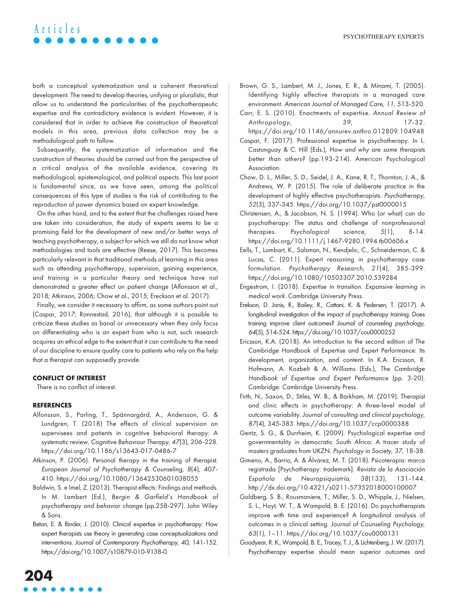# **Articles**

both a conceptual systematization and a coherent theoretical development. The need to develop theories, unifying or pluralistic, that allow us to understand the particularities of the psychotherapeutic expertise and the contradictory evidence is evident. However, it is considered that in order to achieve the construction of theoretical models in this area, previous data collection may be a methodological path to follow.

Subsequently, the systematization of information and the construction of theories should be carried out from the perspective of a critical analysis of the available evidence, covering its methodological, epistemological, and political aspects. This last point is fundamental since, as we have seen, among the political consequences of this type of studies is the risk of contributing to the reproduction of power dynamics based on expert knowledge.

On the other hand, and to the extent that the challenges raised here are taken into consideration, the study of experts seems to be a promising field for the development of new and/or better ways of teaching psychotherapy, a subject for which we still do not know what methodologies and tools are effective (Reese, 2017). This becomes particularly relevant in that traditional methods of learning in this area such as attending psychotherapy, supervision, gaining experience, and training in a particular theory and technique have not demonstrated a greater effect on patient change (Alfonsson et al., 2018; Atkinson, 2006; Chow et al., 2015; Ereckson et al. 2017).

Finally, we consider it necessary to affirm, as some authors point out (Caspar, 2017; Ronnestad, 2016), that although it is possible to criticize these studies as banal or unnecessary when they only focus on differentiating who is an expert from who is not, such research acquires an ethical edge to the extent that it can contribute to the need of our discipline to ensure quality care to patients who rely on the help that a therapist can supposedly provide.

#### **CONFLICT OF INTEREST**

There is no conflict of interest.

#### **REFERENCES**

- Alfonsson, S., Parling, T., Spännargård, A., Andersson, G. & Lundgren, T. (2018) The effects of clinical supervision on supervisees and patients in cognitive behavioral therapy: A systematic review, Cognitive Behaviour Therapy, 47(3), 206-228. <https://doi.org/10.1186/s13643-017-0486-7>
- Atkinson, P. (2006). Personal therapy in the training of therapist. European Journal of Psychotherapy & Counseling, 8(4), 407- 410.<https://doi.org/10.1080/13642530601038055>
- Baldwin, S. e Imel, Z. (2013). Therapist effects: Findings and methods. In M. Lambert (Ed.), Bergin & Garfield's Handbook of psychotherapy and behavior change (pp.258-297). John Wiley & Sons.
- Betan, E. & Binder, J. (2010). Clinical expertise in psychotherapy: How expert therapists use theory in generating case conceptualizations and interventions. Journal of Contemporary Psychotherapy, 40, 141-152. <https://doi.org/10.1007/s10879-010-9138-0>
- Brown, G. S., Lambert, M. J., Jones, E. R., & Minami, T. (2005). Identifying highly effective therapists in a managed care environment. American Journal of Managed Care, 11, 513-520.
- Carr, E. S. (2010). Enactments of expertise. Annual Review of Anthropology, 39, 17-32. <https://doi.org/10.1146/annurev.anthro.012809.104948>
- Caspar, F. (2017). Professional expertise in psychotherapy. In L. Castonguay & C. Hill (Eds.), How and why are some therapists better than others? (pp.193-214). American Psychological Association.
- Chow, D. L., Miller, S. D., Seidel, J. A., Kane, R. T., Thornton, J. A., & Andrews, W. P. (2015). The role of deliberate practice in the development of highly effective psychotherapists. Psychotherapy, 52(3), 337-345.<https://doi.org/10.1037/pst0000015>
- Christensen, A., & Jacobson, N. S. (1994). Who (or what) can do psychotherapy: The status and challenge of nonprofessional therapies. Psychological science, 5(1), 8-14. <https://doi.org/10.1111/j.1467-9280.1994.tb00606.x>
- Eells, T., Lombart, K., Salsman, N., Kendjelic, C., Schneiderman, C. & Lucas, C. (2011). Expert reasoning in psychotherapy case formulation. Psychotherapy Research, 21(4), 385-399. <https://doi.org/10.1080/10503307.2010.539284>
- Engestrom, I. (2018). Expertise in transition. Expansive learning in medical work. Cambridge University Press.
- Erekson, D. Janis, R., Bailey, R., Cattani, K. & Pedersen, T. (2017). A longitudinal investigation of the impact of psychotherapy training: Does training improve client outcomes? Journal of counseling psychology, 64(5), 514-524.<https://doi.org/10.1037/cou0000252>
- Ericsson, K.A. (2018). An introduction to the second edition of The Cambridge Handbook of Expertise and Expert Performance: Its development, organization, and content. In K.A. Ericsson, R. Hofmann, A. Kozbelt & A. Williams (Eds.), The Cambridge Handbook of Expertise and Expert Performance (pp. 3-20). Cambridge: Cambridge University Press.
- Firth, N., Saxon, D., Stiles, W. B., & Barkham, M. (2019). Therapist and clinic effects in psychotherapy: A three-level model of outcome variability. Journal of consulting and clinical psychology, 87(4), 345-383.<https://doi.org/10.1037/ccp0000388>
- Gentz, S. G., & Durrheim, K. (2009). Psychological expertise and governmentality in democratic South Africa: A tracer study of masters graduates from UKZN. Psychology in Society, 37, 18-38.
- Gimeno, A., Barrio, A. & Álvarez, M. T. (2018). Psicoterapia: marca registrada [Psychotherapy: trademark]. Revista de la Asociación Española de Neuropsiquiatría, 38(133), 131-144. <http://dx.doi.org/10.4321/s0211-57352018000100007>
- Goldberg, S. B., Rousmaniere, T., Miller, S. D., Whipple, J., Nielsen, S. L., Hoyt, W. T., & Wampold, B. E. (2016). Do psychotherapists improve with time and experience? A longitudinal analysis of outcomes in a clinical setting. Journal of Counseling Psychology, 63(1), 1–11. [https://doi.org/10.1037/cou0000131](https://psycnet.apa.org/doi/10.1037/cou0000131)
- Goodyear, R. K., Wampold, B. E., Tracey, T. J., & Lichtenberg, J. W. (2017). Psychotherapy expertise should mean superior outcomes and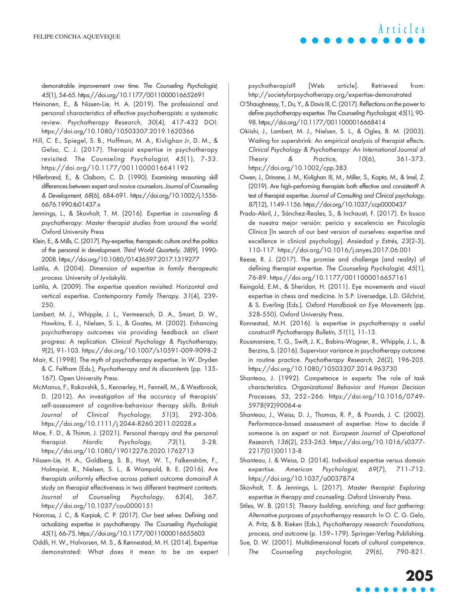demonstrable improvement over time. The Counseling Psychologist, 45(1), 54-65.<https://doi.org/10.1177/0011000016652691>

- Heinonen, E., & Nissen-Lie, H. A. (2019). The professional and personal characteristics of effective psychotherapists: a systematic review. Psychotherapy Research, 30(4), 417-432 DOI: <https://doi.org/10.1080/10503307.2019.1620366>
- Hill, C. E., Spiegel, S. B., Hoffman, M. A., Kivlighan Jr, D. M., & Gelso, C. J. (2017). Therapist expertise in psychotherapy revisited. The Counseling Psychologist, 45(1), 7-53. <https://doi.org/10.1177/0011000016641192>
- Hillerbrand, E., & Claiborn, C. D. (1990). Examining reasoning skill differences between expert and novice counselors. Journal of Counseling & Development, 68(6), 684-691. [https://doi.org/10.1002/j.1556-](https://doi.org/10.1002/j.1556-6676.1990.tb01437.x) [6676.1990.tb01437.x](https://doi.org/10.1002/j.1556-6676.1990.tb01437.x)
- Jennings, L., & Skovholt, T. M. (2016). Expertise in counseling & psychotherapy: Master therapist studies from around the world. Oxford University Press
- Klein, E., & Mills, C. (2017). Psy-expertise, therapeutic culture and the politics of the personal in development. Third World Quarterly, 38(9), 1990- 2008.<https://doi.org/10.1080/01436597.2017.1319277>

Laitila, A. (2004). Dimension of expertise in family therapeutic process. University of Jyväskylä.

- Laitila, A. (2009). The expertise question revisited: Horizontal and vertical expertise. Contemporary Family Therapy, 31(4), 239- 250.
- Lambert, M. J., Whipple, J. L., Vermeersch, D. A., Smart, D. W., Hawkins, E. J., Nielsen, S. L., & Goates, M. (2002). Enhancing psychotherapy outcomes via providing feedback on client progress: A replication. Clinical Psychology & Psychotherapy, 9(2), 91-103.<https://doi.org/10.1007/s10591-009-9098-2>
- Mair, K. (1998). The myth of psychotherapy expertise. In W. Dryden & C. Feltham (Eds.), Psychotherapy and its discontents (pp. 135- 167). Open University Press.
- McManus, F., Rakovshik, S., Kennerley, H., Fennell, M., & Westbrook, D. (2012). An investigation of the accuracy of therapists' self-assessment of cognitive-behaviour therapy skills. British Journal of Clinical Psychology, 51(3), 292-306. <https://doi.org/10.1111/j.2044-8260.2011.02028.x>
- Moe, F. D., & Thimm, J. (2021). Personal therapy and the personal therapist. Nordic Psychology, 73(1), 3-28. https://doi.org/10.1080/19012276.2020.1762713
- Nissen-Lie, H. A., Goldberg, S. B., Hoyt, W. T., Falkenström, F., Holmqvist, R., Nielsen, S. L., & Wampold, B. E. (2016). Are therapists uniformly effective across patient outcome domains? A study on therapist effectiveness in two different treatment contexts. Journal of Counseling Psychology, 63(4), 367. <https://doi.org/10.1037/cou0000151>
- Norcross, J. C., & Karpiak, C. P. (2017). Our best selves: Defining and actualizing expertise in psychotherapy. The Counseling Psychologist, 45(1), 66-75.<https://doi.org/10.1177/0011000016655603>
- Oddli, H. W., Halvorsen, M. S., & Rønnestad, M. H. (2014). Expertise demonstrated: What does it mean to be an expert

psychotherapist? [Web article]. Retrieved from: <http://societyforpsychotherapy.org/expertise-demonstrated>

**Articles**

- O'Shaughnessy, T., Du, Y., & Davis III, C. (2017). Reflections on the power to define psychotherapy expertise. The Counseling Psychologist, 45(1), 90- 98.<https://doi.org/10.1177/0011000016668414>
- Okiishi, J., Lambert, M. J., Nielsen, S. L., & Ogles, B. M. (2003). Waiting for supershrink: An empirical analysis of therapist effects. Clinical Psychology & Psychotherapy: An International Journal of Theory & Practice, 10(6), 361-373. <https://doi.org/10.1002/cpp.383>
- Owen, J., Drinane, J. M., Kivlighan III, M., Miller, S., Kopta, M., & Imel, Z. (2019). Are high-performing therapists both effective and consistent? A test of therapist expertise. Journal of Consulting and Clinical psychology, 87(12), 1149-1156.<https://doi.org/10.1037/ccp0000437>
- Prado-Abril, J., Sánchez-Reales, S., & Inchausti, F. (2017). En busca de nuestra mejor versión: pericia y excelencia en Psicología Clínica [In search of our best version of ourselves: expertise and excellence in clinical psychology]. Ansiedad y Estrés, 23(2-3), 110-117.<https://doi.org/10.1016/j.anyes.2017.06.001>
- Reese, R. J. (2017). The promise and challenge (and reality) of defining therapist expertise. The Counseling Psychologist, 45(1), 76-89.<https://doi.org/10.1177/0011000016657161>
- Reingold, E.M., & Sheridan, H. (2011). Eye movements and visual expertise in chess and medicine. In S.P. Liversedge, L.D. Gilchrist, & S. Everling (Eds.), Oxford Handbook on Eye Movements (pp. 528-550). Oxford University Press.
- Ronnestad, M.H. (2016). Is expertise in psychotherapy a useful construct? Pychotherapy Bulletin, 51(1), 11-13.
- Rousmaniere, T. G., Swift, J. K., Babins-Wagner, R., Whipple, J. L., & Berzins, S. (2016). Supervisor variance in psychotherapy outcome in routine practice. Psychotherapy Research, 26(2), 196-205. <https://doi.org/10.1080/10503307.2014.963730>
- Shanteau, J. (1992). Competence in experts: The role of task characteristics. Organizational Behavior and Human Decision Processes, 53, 252–266. [https://doi.org/10.1016/0749-](https://doi.org/10.1016/0749-5978(92)90064-e) [5978\(92\)90064-e](https://doi.org/10.1016/0749-5978(92)90064-e)
- Shanteau, J., Weiss, D. J., Thomas, R. P., & Pounds, J. C. (2002). Performance-based assessment of expertise: How to decide if someone is an expert or not. European Journal of Operational Research, 136(2), 253-263. [https://doi.org/10.1016/s0377-](https://doi.org/10.1016/s0377-2217(01)00113-8) [2217\(01\)00113-8](https://doi.org/10.1016/s0377-2217(01)00113-8)
- Shanteau, J. & Weiss, D. (2014). Individual expertise versus domain expertise. American Psychologist, 69(7), 711-712. <https://doi.org/10.1037/a0037874>
- Skovholt, T. & Jennings, L. (2017). Master therapist: Exploring expertise in therapy and counseling. Oxford University Press.

Stiles, W. B. (2015). Theory building, enriching, and fact gathering: Alternative purposes of psychotherapy research. In O. C. G. Gelo, A. Pritz, & B. Rieken (Eds.), Psychotherapy research: Foundations, process, and outcome (p. 159–179). Springer-Verlag Publishing.

Sue, D. W. (2001). Multidimensional facets of cultural competence. The Counseling psychologist, 29(6), 790-821.